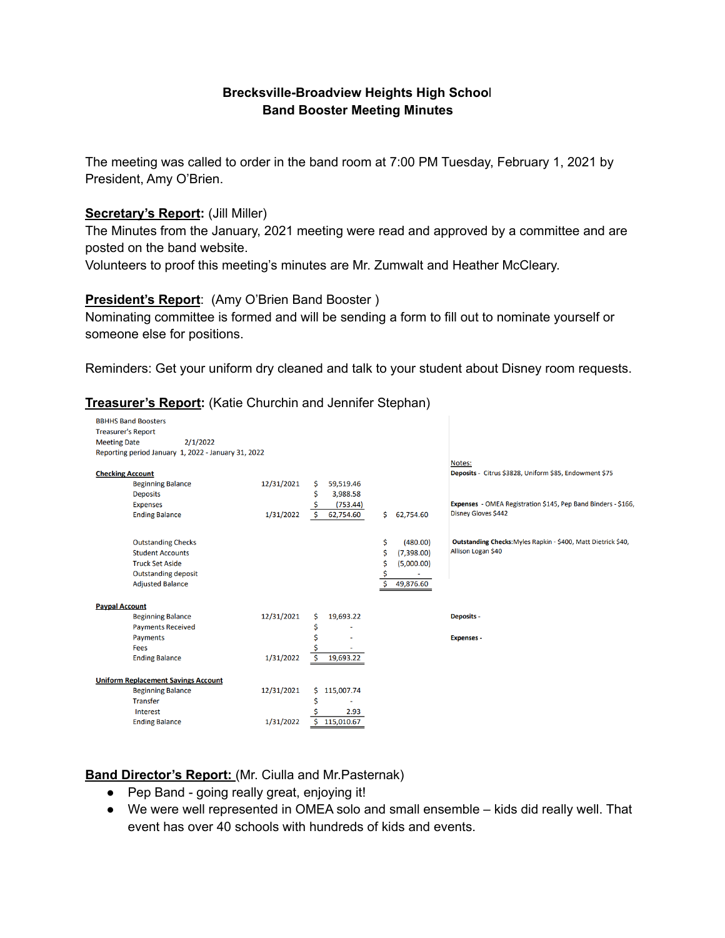## **Brecksville-Broadview Heights High Schoo**l **Band Booster Meeting Minutes**

The meeting was called to order in the band room at 7:00 PM Tuesday, February 1, 2021 by President, Amy O'Brien.

#### **Secretary's Report:** (Jill Miller)

The Minutes from the January, 2021 meeting were read and approved by a committee and are posted on the band website.

Volunteers to proof this meeting's minutes are Mr. Zumwalt and Heather McCleary.

#### **President's Report**: (Amy O'Brien Band Booster )

Nominating committee is formed and will be sending a form to fill out to nominate yourself or someone else for positions.

Reminders: Get your uniform dry cleaned and talk to your student about Disney room requests.

#### **BBHHS Band Boosters Treasurer's Report** 2/1/2022 **Meeting Date** Reporting period January 1, 2022 - January 31, 2022 Notes: Deposits - Citrus \$3828, Uniform \$85, Endowment \$75 **Checking Account** 12/31/2021 \$ 59,519.46 **Beginning Balance** 59,519.46<br>3,988.58<br>\$3,988.58<br>\$50,753.44) **Deposits**  $(753.44)$ Expenses - OMEA Registration \$145, Pep Band Binders - \$166, **Expenses** \$  $1/31/2022$   $\frac{6}{5}$  62,754.60 \$ 62,754.60 Disney Gloves \$442 **Ending Balance**  $$ (480.00)$ Outstanding Checks: Myles Rapkin - \$400, Matt Dietrick \$40, **Outstanding Checks** Allison Logan \$40 **Student Accounts**  $$ (7,398.00)$ **Truck Set Aside**  $$ (5,000.00)$ **Outstanding deposit** Ŝ  $\frac{1}{5}$  49,876.60 **Adiusted Balance Paypal Account Beginning Balance** 12/31/2021 \$ 19,693.22 **Deposits -Payments Received**  $\mathsf{S}$  $\sim$ Payments  $\mathsf{S}$ **Expenses** i. Fees **Ending Balance**  $1/31/2022$  \$ 19,693.22 **Uniform Replacement Savings Account** Beginning Balance<br>
Transfer<br>
Interest 12/31/2021 \$ 115,007.74  $\frac{1}{2}$ Interest **S** 2.93 Ending Balance 1/31/2022 5 115,010.67

# **Treasurer's Report:** (Katie Churchin and Jennifer Stephan)

**Band Director's Report:** (Mr. Ciulla and Mr.Pasternak)

- Pep Band going really great, enjoying it!
- We were well represented in OMEA solo and small ensemble kids did really well. That event has over 40 schools with hundreds of kids and events.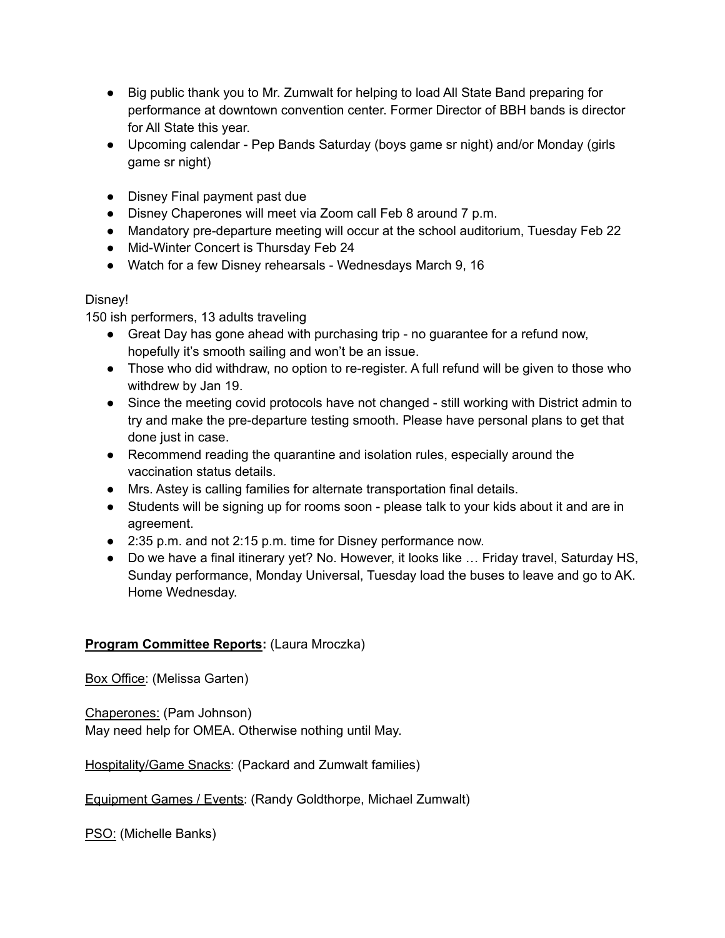- Big public thank you to Mr. Zumwalt for helping to load All State Band preparing for performance at downtown convention center. Former Director of BBH bands is director for All State this year.
- Upcoming calendar Pep Bands Saturday (boys game sr night) and/or Monday (girls game sr night)
- Disney Final payment past due
- Disney Chaperones will meet via Zoom call Feb 8 around 7 p.m.
- Mandatory pre-departure meeting will occur at the school auditorium, Tuesday Feb 22
- Mid-Winter Concert is Thursday Feb 24
- Watch for a few Disney rehearsals Wednesdays March 9, 16

# Disney!

150 ish performers, 13 adults traveling

- Great Day has gone ahead with purchasing trip no quarantee for a refund now, hopefully it's smooth sailing and won't be an issue.
- Those who did withdraw, no option to re-register. A full refund will be given to those who withdrew by Jan 19.
- Since the meeting covid protocols have not changed still working with District admin to try and make the pre-departure testing smooth. Please have personal plans to get that done just in case.
- Recommend reading the quarantine and isolation rules, especially around the vaccination status details.
- Mrs. Astey is calling families for alternate transportation final details.
- Students will be signing up for rooms soon please talk to your kids about it and are in agreement.
- 2:35 p.m. and not 2:15 p.m. time for Disney performance now.
- Do we have a final itinerary yet? No. However, it looks like … Friday travel, Saturday HS, Sunday performance, Monday Universal, Tuesday load the buses to leave and go to AK. Home Wednesday.

# **Program Committee Reports:** (Laura Mroczka)

Box Office: (Melissa Garten)

Chaperones: (Pam Johnson) May need help for OMEA. Otherwise nothing until May.

Hospitality/Game Snacks: (Packard and Zumwalt families)

Equipment Games / Events: (Randy Goldthorpe, Michael Zumwalt)

PSO: (Michelle Banks)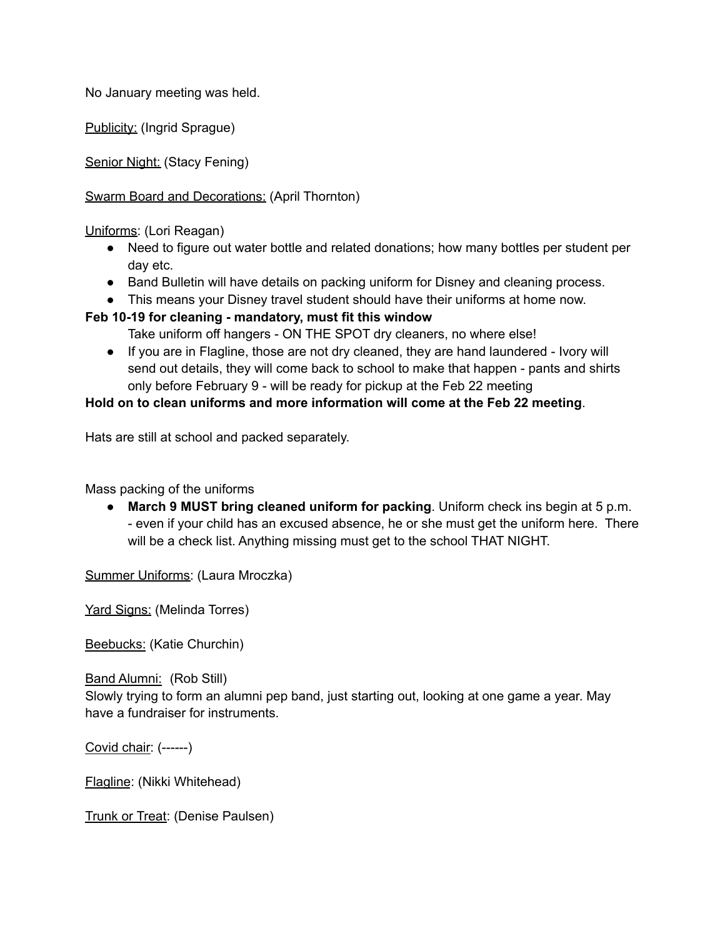No January meeting was held.

Publicity: (Ingrid Sprague)

Senior Night: (Stacy Fening)

Swarm Board and Decorations: (April Thornton)

Uniforms: (Lori Reagan)

- Need to figure out water bottle and related donations; how many bottles per student per day etc.
- Band Bulletin will have details on packing uniform for Disney and cleaning process.
- This means your Disney travel student should have their uniforms at home now.

### **Feb 10-19 for cleaning - mandatory, must fit this window**

Take uniform off hangers - ON THE SPOT dry cleaners, no where else!

● If you are in Flagline, those are not dry cleaned, they are hand laundered - Ivory will send out details, they will come back to school to make that happen - pants and shirts only before February 9 - will be ready for pickup at the Feb 22 meeting

### **Hold on to clean uniforms and more information will come at the Feb 22 meeting**.

Hats are still at school and packed separately.

Mass packing of the uniforms

● **March 9 MUST bring cleaned uniform for packing**. Uniform check ins begin at 5 p.m. - even if your child has an excused absence, he or she must get the uniform here. There will be a check list. Anything missing must get to the school THAT NIGHT.

Summer Uniforms: (Laura Mroczka)

Yard Signs: (Melinda Torres)

Beebucks: (Katie Churchin)

Band Alumni: (Rob Still)

Slowly trying to form an alumni pep band, just starting out, looking at one game a year. May have a fundraiser for instruments.

Covid chair: (------)

Flagline: (Nikki Whitehead)

Trunk or Treat: (Denise Paulsen)